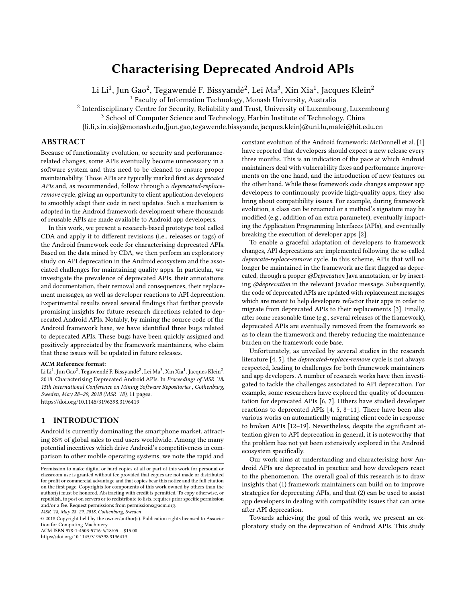# Characterising Deprecated Android APIs

Li Li<sup>1</sup>, Jun Gao<sup>2</sup>, Tegawendé F. Bissyandé<sup>2</sup>, Lei Ma<sup>3</sup>, Xin Xia<sup>1</sup>, Jacques Klein<sup>2</sup>

<sup>1</sup> Faculty of Information Technology, Monash University, Australia

2 Interdisciplinary Centre for Security, Reliability and Trust, University of Luxembourg, Luxembourg

<sup>3</sup> School of Computer Science and Technology, Harbin Institute of Technology, China

{li.li,xin.xia}@monash.edu,{jun.gao,tegawende.bissyande,jacques.klein}@uni.lu,malei@hit.edu.cn

# ABSTRACT

Because of functionality evolution, or security and performancerelated changes, some APIs eventually become unnecessary in a software system and thus need to be cleaned to ensure proper maintainability. Those APIs are typically marked first as deprecated APIs and, as recommended, follow through a deprecated-replaceremove cycle, giving an opportunity to client application developers to smoothly adapt their code in next updates. Such a mechanism is adopted in the Android framework development where thousands of reusable APIs are made available to Android app developers.

In this work, we present a research-based prototype tool called CDA and apply it to different revisions (i.e., releases or tags) of the Android framework code for characterising deprecated APIs. Based on the data mined by CDA, we then perform an exploratory study on API deprecation in the Android ecosystem and the associated challenges for maintaining quality apps. In particular, we investigate the prevalence of deprecated APIs, their annotations and documentation, their removal and consequences, their replacement messages, as well as developer reactions to API deprecation. Experimental results reveal several findings that further provide promising insights for future research directions related to deprecated Android APIs. Notably, by mining the source code of the Android framework base, we have identified three bugs related to deprecated APIs. These bugs have been quickly assigned and positively appreciated by the framework maintainers, who claim that these issues will be updated in future releases.

#### ACM Reference format:

Li Li<sup>1</sup>, Jun Gao<sup>2</sup>, Tegawendé F. Bissyandé<sup>2</sup>, Lei Ma<sup>3</sup>, Xin Xia<sup>1</sup>, Jacques Klein<sup>2</sup>, 2018. Characterising Deprecated Android APIs. In Proceedings of MSR '18: 15th International Conference on Mining Software Repositories , Gothenburg, Sweden, May 28–29, 2018 (MSR '18), [11](#page-10-0) pages. <https://doi.org/10.1145/3196398.3196419>

# 1 INTRODUCTION

Android is currently dominating the smartphone market, attracting 85% of global sales to end users worldwide. Among the many potential incentives which drive Android's competitiveness in comparison to other mobile operating systems, we note the rapid and

© 2018 Copyright held by the owner/author(s). Publication rights licensed to Association for Computing Machinery.

ACM ISBN 978-1-4503-5716-6/18/05. . . \$15.00 <https://doi.org/10.1145/3196398.3196419>

constant evolution of the Android framework: McDonnell et al. [\[1\]](#page-10-1) have reported that developers should expect a new release every three months. This is an indication of the pace at which Android maintainers deal with vulnerability fixes and performance improvements on the one hand, and the introduction of new features on the other hand. While these framework code changes empower app developers to continuously provide high-quality apps, they also bring about compatibility issues. For example, during framework evolution, a class can be renamed or a method's signature may be modified (e.g., addition of an extra parameter), eventually impacting the Application Programming Interfaces (APIs), and eventually breaking the execution of developer apps [\[2\]](#page-10-2).

To enable a graceful adaptation of developers to framework changes, API deprecations are implemented following the so-called deprecate-replace-remove cycle. In this scheme, APIs that will no longer be maintained in the framework are first flagged as deprecated, through a proper @Deprecation Java annotation, or by inserting @deprecation in the relevant Javadoc message. Subsequently, the code of deprecated APIs are updated with replacement messages which are meant to help developers refactor their apps in order to migrate from deprecated APIs to their replacements [\[3\]](#page-10-3). Finally, after some reasonable time (e.g., several releases of the framework), deprecated APIs are eventually removed from the framework so as to clean the framework and thereby reducing the maintenance burden on the framework code base.

Unfortunately, as unveiled by several studies in the research literature [\[4,](#page-10-4) [5\]](#page-10-5), the deprecated-replace-remove cycle is not always respected, leading to challenges for both framework maintainers and app developers. A number of research works have then investigated to tackle the challenges associated to API deprecation. For example, some researchers have explored the quality of documentation for deprecated APIs [\[6,](#page-10-6) [7\]](#page-10-7). Others have studied developer reactions to deprecated APIs [\[4,](#page-10-4) [5,](#page-10-5) [8](#page-10-8)[–11\]](#page-10-9). There have been also various works on automatically migrating client code in response to broken APIs [\[12](#page-10-10)[–19\]](#page-10-11). Nevertheless, despite the significant attention given to API deprecation in general, it is noteworthy that the problem has not yet been extensively explored in the Android ecosystem specifically.

Our work aims at understanding and characterising how Android APIs are deprecated in practice and how developers react to the phenomenon. The overall goal of this research is to draw insights that (1) framework maintainers can build on to improve strategies for deprecating APIs, and that (2) can be used to assist app developers in dealing with compatibility issues that can arise after API deprecation.

Towards achieving the goal of this work, we present an exploratory study on the deprecation of Android APIs. This study

Permission to make digital or hard copies of all or part of this work for personal or classroom use is granted without fee provided that copies are not made or distributed for profit or commercial advantage and that copies bear this notice and the full citation on the first page. Copyrights for components of this work owned by others than the author(s) must be honored. Abstracting with credit is permitted. To copy otherwise, or republish, to post on servers or to redistribute to lists, requires prior specific permission and/or a fee. Request permissions from permissions@acm.org.

MSR '18, May 28–29, 2018, Gothenburg, Sweden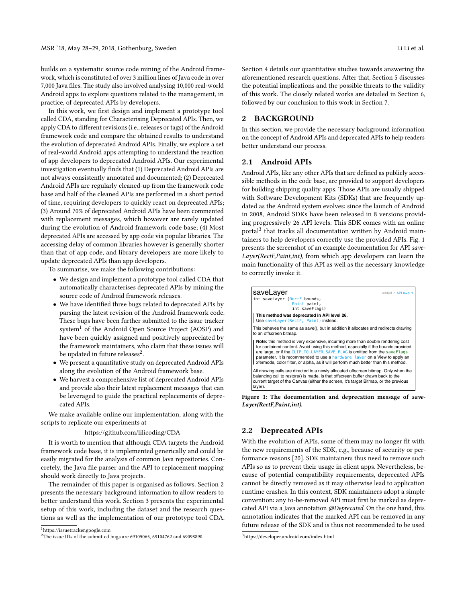builds on a systematic source code mining of the Android framework, which is constituted of over 3 million lines of Java code in over 7,000 Java files. The study also involved analysing 10,000 real-world Android apps to explore questions related to the management, in practice, of deprecated APIs by developers.

In this work, we first design and implement a prototype tool called CDA, standing for Characterising Deprecated APIs. Then, we apply CDA to different revisions (i.e., releases or tags) of the Android framework code and compare the obtained results to understand the evolution of deprecated Android APIs. Finally, we explore a set of real-world Android apps attempting to understand the reaction of app developers to deprecated Android APIs. Our experimental investigation eventually finds that (1) Deprecated Android APIs are not always consistently annotated and documented; (2) Deprecated Android APIs are regularly cleaned-up from the framework code base and half of the cleaned APIs are performed in a short period of time, requiring developers to quickly react on deprecated APIs; (3) Around 70% of deprecated Android APIs have been commented with replacement messages, which however are rarely updated during the evolution of Android framework code base; (4) Most deprecated APIs are accessed by app code via popular libraries. The accessing delay of common libraries however is generally shorter than that of app code, and library developers are more likely to update deprecated APIs than app developers.

To summarise, we make the following contributions:

- We design and implement a prototype tool called CDA that automatically characterises deprecated APIs by mining the source code of Android framework releases.
- We have identified three bugs related to deprecated APIs by parsing the latest revision of the Android framework code. These bugs have been further submitted to the issue tracker system<sup>[1](#page-1-0)</sup> of the Android Open Source Project (AOSP) and have been quickly assigned and positively appreciated by the framework maintainers, who claim that these issues will be updated in future releases $^2$  $^2$ .
- We present a quantitative study on deprecated Android APIs along the evolution of the Android framework base.
- We harvest a comprehensive list of deprecated Android APIs and provide also their latest replacement messages that can be leveraged to guide the practical replacements of deprecated APIs.

We make available online our implementation, along with the scripts to replicate our experiments at

<https://github.com/lilicoding/CDA>

It is worth to mention that although CDA targets the Android framework code base, it is implemented generically and could be easily migrated for the analysis of common Java repositories. Concretely, the Java file parser and the API to replacement mapping should work directly to Java projects.

The remainder of this paper is organised as follows. Section [2](#page-1-2) presents the necessary background information to allow readers to better understand this work. Section [3](#page-2-0) presents the experimental setup of this work, including the dataset and the research questions as well as the implementation of our prototype tool CDA.

<span id="page-1-0"></span><sup>1</sup>https://issuetracker.google.com

Section [4](#page-3-0) details our quantitative studies towards answering the aforementioned research questions. After that, Section [5](#page-7-0) discusses the potential implications and the possible threats to the validity of this work. The closely related works are detailed in Section [6,](#page-8-0) followed by our conclusion to this work in Section [7.](#page-9-0)

#### <span id="page-1-2"></span>2 BACKGROUND

In this section, we provide the necessary background information on the concept of Android APIs and deprecated APIs to help readers better understand our process.

### 2.1 Android APIs

Android APIs, like any other APIs that are defined as publicly accessible methods in the code base, are provided to support developers for building shipping quality apps. Those APIs are usually shipped with Software Development Kits (SDKs) that are frequently updated as the Android system evolves: since the launch of Android in 2008, Android SDKs have been released in 8 versions providing progressively 26 API levels. This SDK comes with an online portal[3](#page-1-3) that tracks all documentation written by Android maintainers to help developers correctly use the provided APIs. Fig. [1](#page-1-4) presents the screenshot of an example documentation for API save-Layer(RectF,Paint,int), from which app developers can learn the main functionality of this API as well as the necessary knowledge to correctly invoke it.

<span id="page-1-4"></span>

Figure 1: The documentation and deprecation message of save-Layer(RectF,Paint,int).

# 2.2 Deprecated APIs

With the evolution of APIs, some of them may no longer fit with the new requirements of the SDK, e.g., because of security or performance reasons [\[20\]](#page-10-12). SDK maintainers thus need to remove such APIs so as to prevent their usage in client apps. Nevertheless, because of potential compatibility requirements, deprecated APIs cannot be directly removed as it may otherwise lead to application runtime crashes. In this context, SDK maintainers adopt a simple convention: any to-be-removed API must first be marked as deprecated API via a Java annotation @Deprecated. On the one hand, this annotation indicates that the marked API can be removed in any future release of the SDK and is thus not recommended to be used

<span id="page-1-1"></span> $2$ The issue IDs of the submitted bugs are 69105065, 69104762 and 69098890.

<span id="page-1-3"></span><sup>3</sup>https://developer.android.com/index.html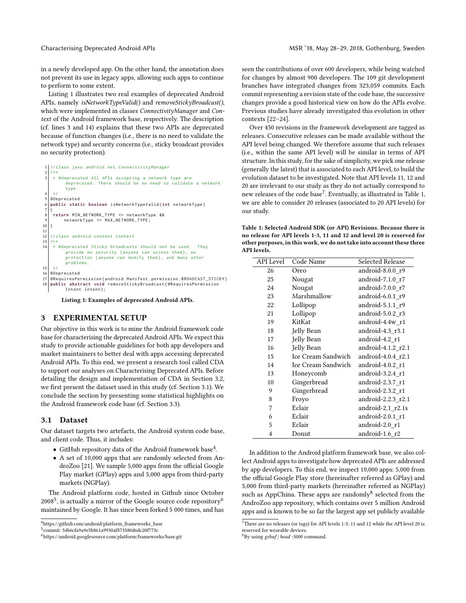in a newly developed app. On the other hand, the annotation does not prevent its use in legacy apps, allowing such apps to continue to perform to some extent.

Listing [1](#page-2-1) illustrates two real examples of deprecated Android APIs, namely *isNetworkTypeValid()* and *removeStickyBroadcast()*, which were implemented in classes ConnectivityManager and Context of the Android framework base, respectively. The description (cf. lines 3 and 14) explains that these two APIs are deprecated because of function changes (i.e., there is no need to validate the network type) and security concerns (i.e., sticky broadcast provides no security protection).

```
1 // class java . android .net. ConnectivityManager
 2^{7} /**
    3 * @deprecated All APIs accepting a network type are
          deprecated. There should be no need to validate a network
          type
    \star /
   5 @Deprecated
   6 public static boolean isNetworkTypeValid ( int networkType )
 7 {
    8 return MIN_NETWORK_TYPE <= networkType &&
         networkType <= MAX_NETWORK_TYPE ;
10 \vert }
11
12 // class android.content.Context<br>13 /**
\begin{array}{c|c}\n 13 & \rightarrow \star \\
 14 & \star\n \end{array}* @deprecated Sticky broadcasts should not be used. They
         provide no security (anyone can access them), no
          protection (anyone can modify them), and many other
          problems .
\frac{15}{16}16 @Deprecated<br>17 @RequiresPe
  17 @RequiresPermission ( android . Manifest . permission . BROADCAST_STICKY )
18 public abstract void removeStickyBroadcast ( @RequiresPermission
          Intent intent);
```
Listing 1: Examples of deprecated Android APIs.

# <span id="page-2-0"></span>3 EXPERIMENTAL SETUP

Our objective in this work is to mine the Android framework code base for characterising the deprecated Android APIs. We expect this study to provide actionable guidelines for both app developers and market maintainers to better deal with apps accessing deprecated Android APIs. To this end, we present a research tool called CDA to support our analyses on Characterising Deprecated APIs. Before detailing the design and implementation of CDA in Section [3.2,](#page-3-1) we first present the dataset used in this study (cf. Section [3.1\)](#page-2-2). We conclude the section by presenting some statistical highlights on the Android framework code base (cf. Section [3.3\)](#page-3-2).

#### <span id="page-2-2"></span>3.1 Dataset

Our dataset targets two artefacts, the Android system code base, and client code. Thus, it includes:

- GitHub repository data of the Android framework base<sup>[4](#page-2-3)</sup>.
- A set of 10,000 apps that are randomly selected from AndroZoo [\[21\]](#page-10-13). We sample 5,000 apps from the official Google Play market (GPlay) apps and 5,000 apps from third-party markets (NGPlay).

The Android platform code, hosted in Github since October  $2008<sup>5</sup>$  $2008<sup>5</sup>$  $2008<sup>5</sup>$ , is actually a mirror of the Google source code repository<sup>[6](#page-2-5)</sup> maintained by Google. It has since been forked 5 000 times, and has

```
4https://github.com/android/platform_frameworks_base
```
<span id="page-2-4"></span>5 commit: 54b6cfa9a9e5b861a9930af873580d6dc20f773c

seen the contributions of over 600 developers, while being watched for changes by almost 900 developers. The 109 git development branches have integrated changes from 323,059 commits. Each commit representing a revision state of the code base, the successive changes provide a good historical view on how do the APIs evolve. Previous studies have already investigated this evolution in other contexts [\[22](#page-10-14)[–24\]](#page-10-15).

Over 450 revisions in the framework development are tagged as releases. Consecutive releases can be made available without the API level being changed. We therefore assume that such releases (i.e., within the same API level) will be similar in terms of API structure. In this study, for the sake of simplicity, we pick one release (generally the latest) that is associated to each API level, to build the evolution dataset to be investigated. Note that API levels 11, 12 and 20 are irrelevant to our study as they do not actually correspond to new releases of the code base<sup>[7](#page-2-6)</sup>. Eventually, as illustrated in Table [1,](#page-2-7) we are able to consider 20 releases (associated to 20 API levels) for our study.

<span id="page-2-7"></span>Table 1: Selected Android SDK (or API) Revisions. Because there is no release for API levels 1-3, 11 and 12 and level 20 is reserved for other purposes, in this work, we do not take into account these three API levels.

| <b>API</b> Level | Code Name          | Selected Release         |
|------------------|--------------------|--------------------------|
| 26               | Oreo               | android-8.0.0 r9         |
| 25               | Nougat             | android-7.1.0 r7         |
| 24               | Nougat             | android-7.0.0 r7         |
| 23               | Marshmallow        | android-6.0.1 r9         |
| 22               | Lollipop           | android-5.1.1 r9         |
| 21               | Lollipop           | android-5.0.2_r3         |
| 19               | KitKat             | android-4.4w r1          |
| 18               | Jelly Bean         | android-4.3 r3.1         |
| 17               | Jelly Bean         | android-4.2 r1           |
| 16               | Jelly Bean         | android-4.1.2 r2.1       |
| 15               | Ice Cream Sandwich | android-4.0.4 r2.1       |
| 14               | Ice Cream Sandwich | android-4.0.2 r1         |
| 13               | Honeycomb          | android-3.2.4 r1         |
| 10               | Gingerbread        | android-2.3.7 r1         |
| 9                | Gingerbread        | android-2.3.2 r1         |
| 8                | Froyo              | android-2.2.3 r2.1       |
| 7                | Eclair             | android- $2.1$ _r $2.1s$ |
| 6                | Eclair             | android-2.0.1_r1         |
| 5                | Eclair             | android-2.0 r1           |
| $\overline{4}$   | Donut              | android-1.6_r2           |

In addition to the Android platform framework base, we also collect Android apps to investigate how deprecated APIs are addressed by app developers. To this end, we inspect 10,000 apps: 5,000 from the official Google Play store (hereinafter referred as GPlay) and 5,000 from third-party markets (hereinafter referred as NGPlay) such as AppChina. These apps are randomly<sup>[8](#page-2-8)</sup> selected from the AndroZoo app repository, which contains over 5 million Android apps and is known to be so far the largest app set publicly available

<span id="page-2-5"></span><sup>6</sup><https://android.googlesource.com/platform/frameworks/base.git>

<span id="page-2-6"></span> $\overline{7}$ There are no releases (or tags) for API levels 1-3, 11 and 12 while the API level 20 is reserved for wearable devices.

<span id="page-2-8"></span> $8By$  using gshuf | head -5000 command.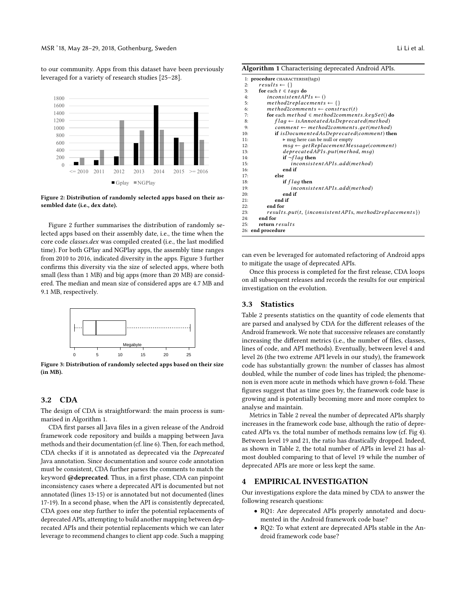to our community. Apps from this dataset have been previously leveraged for a variety of research studies [\[25](#page-10-16)[–28\]](#page-10-17).

<span id="page-3-3"></span>

Figure 2: Distribution of randomly selected apps based on their assembled date (i.e., dex date).

Figure [2](#page-3-3) further summarises the distribution of randomly selected apps based on their assembly date, i.e., the time when the core code classes.dex was compiled created (i.e., the last modified time). For both GPlay and NGPlay apps, the assembly time ranges from 2010 to 2016, indicated diversity in the apps. Figure [3](#page-3-4) further confirms this diversity via the size of selected apps, where both small (less than 1 MB) and big apps (more than 20 MB) are considered. The median and mean size of considered apps are 4.7 MB and 9.1 MB, respectively.

<span id="page-3-4"></span>

Figure 3: Distribution of randomly selected apps based on their size (in MB).

# <span id="page-3-1"></span>3.2 CDA

The design of CDA is straightforward: the main process is summarised in Algorithm [1.](#page-3-5)

CDA first parses all Java files in a given release of the Android framework code repository and builds a mapping between Java methods and their documentation (cf. line 6). Then, for each method, CDA checks if it is annotated as deprecated via the Deprecated Java annotation. Since documentation and source code annotation must be consistent, CDA further parses the comments to match the keyword @deprecated. Thus, in a first phase, CDA can pinpoint inconsistency cases where a deprecated API is documented but not annotated (lines 13-15) or is annotated but not documented (lines 17-19). In a second phase, when the API is consistently deprecated, CDA goes one step further to infer the potential replacements of deprecated APIs, attempting to build another mapping between deprecated APIs and their potential replacements which we can later leverage to recommend changes to client app code. Such a mapping

<span id="page-3-5"></span>

|     | <b>Algorithm 1</b> Characterising deprecated Android APIs. |  |  |  |  |  |  |
|-----|------------------------------------------------------------|--|--|--|--|--|--|
|     | 1: procedure CHARACTERISE(tags)                            |  |  |  |  |  |  |
| 2:  | $results \leftarrow \{\}$                                  |  |  |  |  |  |  |
| 3:  | for each $t \in tags$ do                                   |  |  |  |  |  |  |
| 4:  | $inconsistentAPIs \leftarrow ()$                           |  |  |  |  |  |  |
| 5:  | $methods \leftarrow \{\}$                                  |  |  |  |  |  |  |
| 6:  | $method2 comments \leftarrow construct(t)$                 |  |  |  |  |  |  |
| 7:  | for each method $\in$ method 2comments. $keySet()$ do      |  |  |  |  |  |  |
| 8:  | $flag \leftarrow isAnnotated AsDeprecated(method)$         |  |  |  |  |  |  |
| 9:  | $comment \leftarrow method2 comments.get(method)$          |  |  |  |  |  |  |
| 10: | if isDocumentedAsDeprecated(comment) then                  |  |  |  |  |  |  |
| 11: | $\triangleright$ msg here can be null or empty             |  |  |  |  |  |  |
| 12: | $msg \leftarrow getReplacementMessage(comment)$            |  |  |  |  |  |  |
| 13: | deprecatedAPIs.put(method, msg)                            |  |  |  |  |  |  |
| 14: | if $\neg flag$ then                                        |  |  |  |  |  |  |
| 15: | inconsistentAPIs.add(method)                               |  |  |  |  |  |  |
| 16: | end if                                                     |  |  |  |  |  |  |
| 17: | else                                                       |  |  |  |  |  |  |
| 18: | if flag then                                               |  |  |  |  |  |  |
| 19: | inconsistentAPIs.add(method)                               |  |  |  |  |  |  |
| 20: | end if                                                     |  |  |  |  |  |  |
| 21: | end if                                                     |  |  |  |  |  |  |
| 22: | end for                                                    |  |  |  |  |  |  |
| 23: | $results.put(t, \{inconsistentAPIs, method2replaces\})$    |  |  |  |  |  |  |
| 24: | end for                                                    |  |  |  |  |  |  |
| 25: | return results                                             |  |  |  |  |  |  |
|     | 26: end procedure                                          |  |  |  |  |  |  |

can even be leveraged for automated refactoring of Android apps to mitigate the usage of deprecated APIs.

Once this process is completed for the first release, CDA loops on all subsequent releases and records the results for our empirical investigation on the evolution.

## <span id="page-3-2"></span>3.3 Statistics

Table [2](#page-4-0) presents statistics on the quantity of code elements that are parsed and analysed by CDA for the different releases of the Android framework. We note that successive releases are constantly increasing the different metrics (i.e., the number of files, classes, lines of code, and API methods). Eventually, between level 4 and level 26 (the two extreme API levels in our study), the framework code has substantially grown: the number of classes has almost doubled, while the number of code lines has tripled; the phenomenon is even more acute in methods which have grown 6-fold. These figures suggest that as time goes by, the framework code base is growing and is potentially becoming more and more complex to analyse and maintain.

Metrics in Table [2](#page-4-0) reveal the number of deprecated APIs sharply increases in the framework code base, although the ratio of deprecated APIs vs. the total number of methods remains low (cf. Fig [4\)](#page-4-1). Between level 19 and 21, the ratio has drastically dropped. Indeed, as shown in Table [2,](#page-4-0) the total number of APIs in level 21 has almost doubled comparing to that of level 19 while the number of deprecated APIs are more or less kept the same.

### <span id="page-3-0"></span>4 EMPIRICAL INVESTIGATION

Our investigations explore the data mined by CDA to answer the following research questions:

- RQ1: Are deprecated APIs properly annotated and documented in the Android framework code base?
- RQ2: To what extent are deprecated APIs stable in the Android framework code base?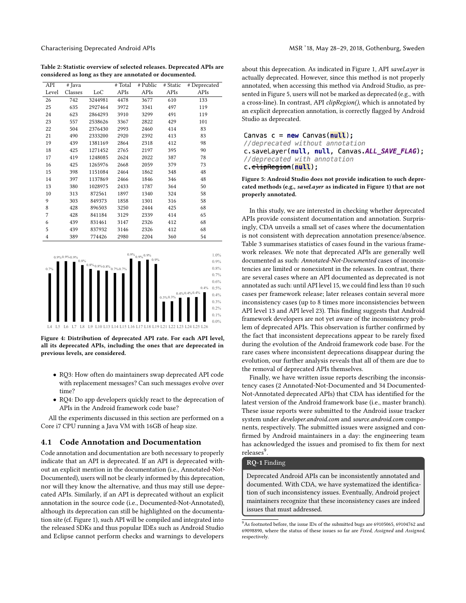<span id="page-4-0"></span>Table 2: Statistic overview of selected releases. Deprecated APIs are considered as long as they are annotated or documented.

| API            | # Java  |         | # Total | # Public | # Static | # Deprecated |
|----------------|---------|---------|---------|----------|----------|--------------|
| Level          | Classes | LoC     | APIs    | APIs     | APIs     | APIs         |
| 26             | 742     | 3244981 | 4478    | 3677     | 610      | 133          |
| 25             | 635     | 2927464 | 3972    | 3341     | 497      | 119          |
| 24             | 623     | 2864293 | 3910    | 3299     | 491      | 119          |
| 23             | 557     | 2538626 | 3367    | 2822     | 429      | 101          |
| 22             | 504     | 2376430 | 2993    | 2460     | 414      | 83           |
| 21             | 490     | 2333200 | 2920    | 2392     | 413      | 83           |
| 19             | 439     | 1381169 | 2864    | 2318     | 412      | 98           |
| 18             | 425     | 1271452 | 2765    | 2197     | 395      | 90           |
| 17             | 419     | 1248085 | 2624    | 2022     | 387      | 78           |
| 16             | 425     | 1265976 | 2668    | 2059     | 379      | 73           |
| 15             | 398     | 1151084 | 2464    | 1862     | 348      | 48           |
| 14             | 397     | 1137869 | 2466    | 1846     | 346      | 48           |
| 13             | 380     | 1028975 | 2433    | 1787     | 364      | 50           |
| 10             | 313     | 872561  | 1897    | 1340     | 324      | 58           |
| 9              | 303     | 849373  | 1858    | 1301     | 316      | 58           |
| 8              | 428     | 896503  | 3250    | 2444     | 425      | 68           |
| 7              | 428     | 841184  | 3129    | 2339     | 414      | 65           |
| 6              | 439     | 831461  | 3147    | 2326     | 412      | 68           |
| 5              | 439     | 837932  | 3146    | 2326     | 412      | 68           |
| $\overline{4}$ | 389     | 774426  | 2980    | 2204     | 360      | 54           |

<span id="page-4-1"></span>

Figure 4: Distribution of deprecated API rate. For each API level, all its deprecated APIs, including the ones that are deprecated in previous levels, are considered.

- RQ3: How often do maintainers swap deprecated API code with replacement messages? Can such messages evolve over time?
- RQ4: Do app developers quickly react to the deprecation of APIs in the Android framework code base?

All the experiments discussed in this section are performed on a Core i7 CPU running a Java VM with 16GB of heap size.

### <span id="page-4-4"></span>4.1 Code Annotation and Documentation

Code annotation and documentation are both necessary to properly indicate that an API is deprecated. If an API is deprecated without an explicit mention in the documentation (i.e., Annotated-Not-Documented), users will not be clearly informed by this deprecation, nor will they know the alternative, and thus may still use deprecated APIs. Similarly, if an API is deprecated without an explicit annotation in the source code (i.e., Documented-Not-Annotated), although its deprecation can still be highlighted on the documentation site (cf. Figure [1\)](#page-1-4), such API will be compiled and integrated into the released SDKs and thus popular IDEs such as Android Studio and Eclipse cannot perform checks and warnings to developers

about this deprecation. As indicated in Figure [1,](#page-1-4) API saveLayer is actually deprecated. However, since this method is not properly annotated, when accessing this method via Android Studio, as presented in Figure [5,](#page-4-2) users will not be marked as deprecated (e.g., with a cross-line). In contrast, API clipRegion(), which is annotated by an explicit deprecation annotation, is correctly flagged by Android Studio as deprecated.

#### <span id="page-4-2"></span>Canvas  $c = new Canvas(null)$ ;

//deprecated without annotation c.saveLayer(null, null, Canvas.ALL\_SAVE\_FLAG); //deprecated with annotation c.elipRegion(null);

Figure 5: Android Studio does not provide indication to such deprecated methods (e.g., saveLayer as indicated in Figure [1\)](#page-1-4) that are not properly annotated.

In this study, we are interested in checking whether deprecated APIs provide consistent documentation and annotation. Surprisingly, CDA unveils a small set of cases where the documentation is not consistent with deprecation annotation presence/absence. Table [3](#page-5-0) summarises statistics of cases found in the various framework releases. We note that deprecated APIs are generally well documented as such: Annotated-Not-Documented cases of inconsistencies are limited or nonexistent in the releases. In contrast, there are several cases where an API documented as deprecated is not annotated as such: until API level 15, we could find less than 10 such cases per framework release; later releases contain several more inconsistency cases (up to 8 times more inconsistencies between API level 13 and API level 23). This finding suggests that Android framework developers are not yet aware of the inconsistency problem of deprecated APIs. This observation is further confirmed by the fact that inconsistent deprecations appear to be rarely fixed during the evolution of the Android framework code base. For the rare cases where inconsistent deprecations disappear during the evolution, our further analysis reveals that all of them are due to the removal of deprecated APIs themselves.

Finally, we have written issue reports describing the inconsistency cases (2 Annotated-Not-Documented and 34 Documented-Not-Annotated deprecated APIs) that CDA has identified for the latest version of the Android framework base (i.e., master branch). These issue reports were submitted to the Android issue tracker system under developer.android.com and source.android.com components, respectively. The submitted issues were assigned and confirmed by Android maintainers in a day: the engineering team has acknowledged the issues and promised to fix them for next releases<sup>[9](#page-4-3)</sup>.

### RQ-1 Finding

Deprecated Android APIs can be inconsistently annotated and documented. With CDA, we have systematized the identification of such inconsistency issues. Eventually, Android project maintainers recognize that these inconsistency cases are indeed issues that must addressed.

<span id="page-4-3"></span> $^{9}$  As footnoted before, the issue IDs of the submitted bugs are 69105065, 69104762 and 69098890, where the status of these issues so far are Fixed, Assigned and Assigned, respectively.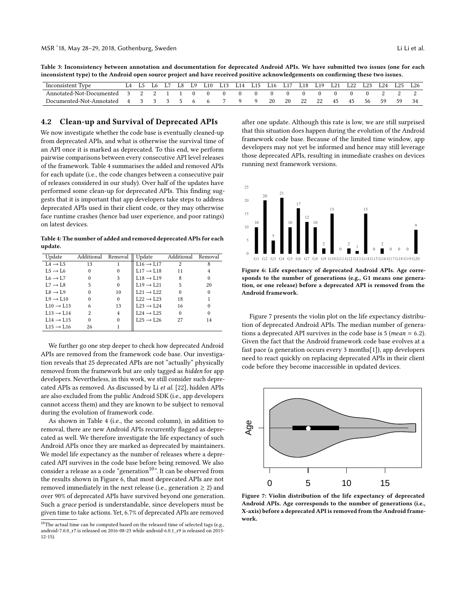<span id="page-5-0"></span>Table 3: Inconsistency between annotation and documentation for deprecated Android APIs. We have submitted two issues (one for each inconsistent type) to the Android open source project and have received positive acknowledgements on confirming these two issues.

| Inconsistent T           |  | LO. |  | .10 | -13 | . 14 | - 16ء |    | 18ء | L <sub>19</sub> |     |    | $2^3$ | 24 |    | L26 |
|--------------------------|--|-----|--|-----|-----|------|-------|----|-----|-----------------|-----|----|-------|----|----|-----|
| Annotated-Not-Documented |  |     |  |     |     |      |       |    |     |                 |     |    |       |    |    |     |
| Documented-Not-Annotated |  |     |  |     |     |      | 20    | 20 |     | 22              | -45 | 45 | 56.   | 59 | 59 |     |

#### 4.2 Clean-up and Survival of Deprecated APIs

We now investigate whether the code base is eventually cleaned-up from deprecated APIs, and what is otherwise the survival time of an API once it is marked as deprecated. To this end, we perform pairwise comparisons between every consecutive API level releases of the framework. Table [4](#page-5-1) summarises the added and removed APIs for each update (i.e., the code changes between a consecutive pair of releases considered in our study). Over half of the updates have performed some clean-up for deprecated APIs. This finding suggests that it is important that app developers take steps to address deprecated APIs used in their client code, or they may otherwise face runtime crashes (hence bad user experience, and poor ratings) on latest devices.

<span id="page-5-1"></span>Table 4: The number of added and removed deprecated APIs for each update.

| Update                | Additional Removal |          | Update                | Additional Removal |          |
|-----------------------|--------------------|----------|-----------------------|--------------------|----------|
| $IA \rightarrow I.5$  | 13                 |          | $L16 \rightarrow L17$ | $\overline{c}$     | 8        |
| $L5 \rightarrow L6$   | $\Omega$           | 0        | $L17 \rightarrow L18$ | 11                 |          |
| $L6 \rightarrow L7$   | $\Omega$           | 3        | $L18 \rightarrow L19$ | 8                  | $\Omega$ |
| $L7 \rightarrow L8$   | 5                  | $\Omega$ | $L19 \rightarrow L21$ | 5                  | 20       |
| $L8 \rightarrow L9$   | $\Omega$           | 10       | $L21 \rightarrow L22$ | $\Omega$           | $\Omega$ |
| $L9 \rightarrow L10$  | $\Omega$           | $\Omega$ | $L22 \rightarrow L23$ | 18                 |          |
| $L10 \rightarrow L13$ | 6                  | 13       | $L23 \rightarrow L24$ | 16                 |          |
| $L13 \rightarrow L14$ | 2                  | 4        | $L24 \rightarrow L25$ | $\Omega$           | $\Omega$ |
| $L14 \rightarrow L15$ | $\Omega$           | $\Omega$ | $L25 \rightarrow L26$ | 27                 | 14       |
| $L15 \rightarrow L16$ | 26                 |          |                       |                    |          |

We further go one step deeper to check how deprecated Android APIs are removed from the framework code base. Our investigation reveals that 25 deprecated APIs are not "actually" physically removed from the framework but are only tagged as hidden for app developers. Nevertheless, in this work, we still consider such deprecated APIs as removed. As discussed by Li et al. [\[22\]](#page-10-14), hidden APIs are also excluded from the public Android SDK (i.e., app developers cannot access them) and they are known to be subject to removal during the evolution of framework code.

As shown in Table [4](#page-5-1) (i.e., the second column), in addition to removal, there are new Android APIs recurrently flagged as deprecated as well. We therefore investigate the life expectancy of such Android APIs once they are marked as deprecated by maintainers. We model life expectancy as the number of releases where a deprecated API survives in the code base before being removed. We also consider a release as a code "generation $10$ ". It can be observed from the results shown in Figure [6,](#page-5-3) that most deprecated APIs are not removed immediately in the next release (i.e., generation  $\geq 2$ ) and over 90% of deprecated APIs have survived beyond one generation. Such a grace period is understandable, since developers must be given time to take actions. Yet, 6.7% of deprecated APIs are removed

after one update. Although this rate is low, we are still surprised that this situation does happen during the evolution of the Android framework code base. Because of the limited time window, app developers may not yet be informed and hence may still leverage those deprecated APIs, resulting in immediate crashes on devices running next framework versions.

<span id="page-5-3"></span>

Figure 6: Life expectancy of deprecated Android APIs. Age corresponds to the number of generations (e.g., G1 means one generation, or one release) before a deprecated API is removed from the Android framework.

Figure [7](#page-5-4) presents the violin plot on the life expectancy distribution of deprecated Android APIs. The median number of generations a deprecated API survives in the code base is 5 (mean <sup>=</sup> <sup>6</sup>.2). Given the fact that the Android framework code base evolves at a fast pace (a generation occurs every 3 months[\[1\]](#page-10-1)), app developers need to react quickly on replacing deprecated APIs in their client code before they become inaccessible in updated devices.

<span id="page-5-4"></span>

Figure 7: Violin distribution of the life expectancy of deprecated Android APIs. Age corresponds to the number of generations (i.e., X-axis) before a deprecated API is removed from the Android framework.

<span id="page-5-2"></span> $^{10}\mathrm{The}$  actual time can be computed based on the released time of selected tags (e.g., android-7.0.0\_r7 is released on 2016-08-23 while android-6.0.1\_r9 is released on 2015- 12-15).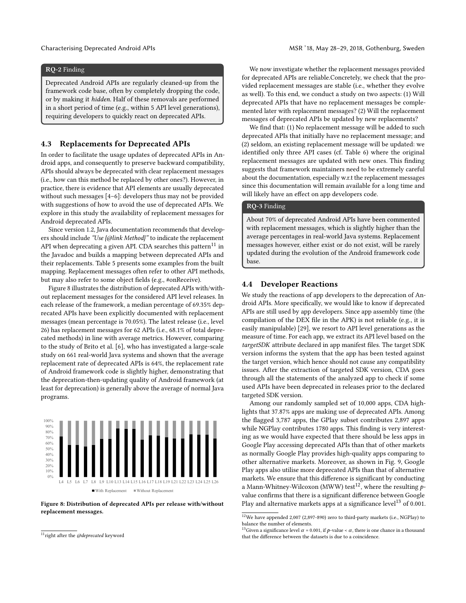#### Characterising Deprecated Android APIs MSR '18, May 28-29, 2018, Gothenburg, Sweden

### RQ-2 Finding

Deprecated Android APIs are regularly cleaned-up from the framework code base, often by completely dropping the code, or by making it hidden. Half of these removals are performed in a short period of time (e.g., within 5 API level generations), requiring developers to quickly react on deprecated APIs.

# 4.3 Replacements for Deprecated APIs

In order to facilitate the usage updates of deprecated APIs in Android apps, and consequently to preserve backward compatibility, APIs should always be deprecated with clear replacement messages (i.e., how can this method be replaced by other ones?). However, in practice, there is evidence that API elements are usually deprecated without such messages [\[4](#page-10-4)[–6\]](#page-10-6): developers thus may not be provided with suggestions of how to avoid the use of deprecated APIs. We explore in this study the availability of replacement messages for Android deprecated APIs.

Since version 1.2, Java documentation recommends that developers should include "Use {@link Method}" to indicate the replacement API when deprecating a given API. CDA searches this pattern<sup>[11](#page-6-0)</sup> in the Javadoc and builds a mapping between deprecated APIs and their replacements. Table [5](#page-7-1) presents some examples from the built mapping. Replacement messages often refer to other API methods, but may also refer to some object fields (e.g., #onReceive).

Figure [8](#page-6-1) illustrates the distribution of deprecated APIs with/without replacement messages for the considered API level releases. In each release of the framework, a median percentage of 69.35% deprecated APIs have been explicitly documented with replacement messages (mean percentage is 70.05%). The latest release (i.e., level 26) has replacement messages for 62 APIs (i.e., 68.1% of total deprecated methods) in line with average metrics. However, comparing to the study of Brito et al. [\[6\]](#page-10-6), who has investigated a large-scale study on 661 real-world Java systems and shown that the average replacement rate of deprecated APIs is 64%, the replacement rate of Android framework code is slightly higher, demonstrating that the deprecation-then-updating quality of Android framework (at least for deprecation) is generally above the average of normal Java programs.

<span id="page-6-1"></span>

Figure 8: Distribution of deprecated APIs per release with/without replacement messages.

We now investigate whether the replacement messages provided for deprecated APIs are reliable.Concretely, we check that the provided replacement messages are stable (i.e., whether they evolve as well). To this end, we conduct a study on two aspects: (1) Will deprecated APIs that have no replacement messages be complemented later with replacement messages? (2) Will the replacement messages of deprecated APIs be updated by new replacements?

We find that: (1) No replacement message will be added to such deprecated APIs that initially have no replacement message; and (2) seldom, an existing replacement message will be updated: we identified only three API cases (cf. Table [6\)](#page-7-2) where the original replacement messages are updated with new ones. This finding suggests that framework maintainers need to be extremely careful about the documentation, especially w.r.t the replacement messages since this documentation will remain available for a long time and will likely have an effect on app developers code.

# RQ-3 Finding

About 70% of deprecated Android APIs have been commented with replacement messages, which is slightly higher than the average percentages in real-world Java systems. Replacement messages however, either exist or do not exist, will be rarely updated during the evolution of the Android framework code base.

# 4.4 Developer Reactions

We study the reactions of app developers to the deprecation of Android APIs. More specifically, we would like to know if deprecated APIs are still used by app developers. Since app assembly time (the compilation of the DEX file in the APK) is not reliable (e.g., it is easily manipulable) [\[29\]](#page-10-18), we resort to API level generations as the measure of time. For each app, we extract its API level based on the targetSDK attribute declared in app manifest files. The target SDK version informs the system that the app has been tested against the target version, which hence should not cause any compatibility issues. After the extraction of targeted SDK version, CDA goes through all the statements of the analyzed app to check if some used APIs have been deprecated in releases prior to the declared targeted SDK version.

Among our randomly sampled set of 10,000 apps, CDA highlights that 37.87% apps are making use of deprecated APIs. Among the flagged 3,787 apps, the GPlay subset contributes 2,897 apps while NGPlay contributes 1780 apps. This finding is very interesting as we would have expected that there should be less apps in Google Play accessing deprecated APIs than that of other markets as normally Google Play provides high-quality apps comparing to other alternative markets. Moreover, as shown in Fig. [9,](#page-7-3) Google Play apps also utilise more deprecated APIs than that of alternative markets. We ensure that this difference is significant by conducting a Mann-Whitney-Wilcoxon (MWW) test<sup>[12](#page-6-2)</sup>, where the resulting pvalue confirms that there is a significant difference between Google Play and alternative markets apps at a significance level<sup>[13](#page-6-3)</sup> of 0.001.

<span id="page-6-0"></span> $^{11}$ right after the @deprecated keyword

<span id="page-6-2"></span> $^{12}\rm{We}$  have appended 2,007 (2,897-890) zero to third-party markets (i.e., NGPlay) to

<span id="page-6-3"></span>balance the number of elements.<br><sup>13</sup>Given a significance level  $\alpha = 0.001$ , if p-value <  $\alpha$ , there is one chance in a thousand that the difference between the datasets is due to a coincidence. that the difference between the datasets is due to a coincidence.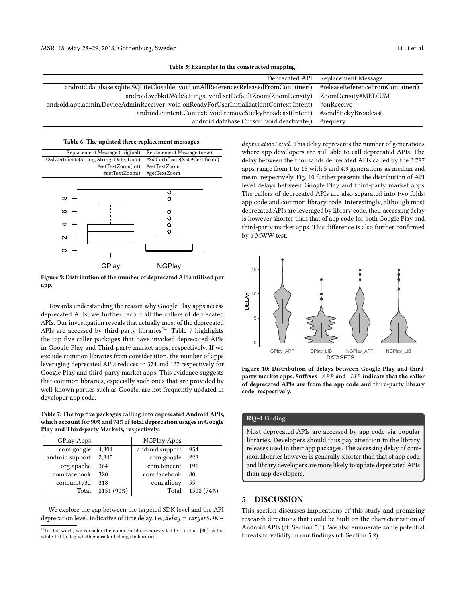|  |  |  |  |  |  | Table 5: Examples in the constructed mapping. |  |  |
|--|--|--|--|--|--|-----------------------------------------------|--|--|
|--|--|--|--|--|--|-----------------------------------------------|--|--|

<span id="page-7-1"></span>

|                                                                                          | Deprecated API Replacement Message |
|------------------------------------------------------------------------------------------|------------------------------------|
| android.database.sqlite.SQLiteClosable: void onAllReferencesReleasedFromContainer()      | #releaseReferenceFromContainer()   |
| android.webkit.WebSettings: void setDefaultZoom(ZoomDensity)                             | ZoomDensity#MEDIUM                 |
| android.app.admin.DeviceAdminReceiver: void onReadyForUserInitialization(Context,Intent) | #onReceive                         |
| android.content.Context: void removeStickyBroadcast(Intent)                              | #sendStickyBroadcast               |
| android.database.Cursor: void deactivate()                                               | $# \n  frequency$                  |

|  |  |  |  |  |  | Table 6: The updated three replacement messages. |
|--|--|--|--|--|--|--------------------------------------------------|
|--|--|--|--|--|--|--------------------------------------------------|

<span id="page-7-3"></span><span id="page-7-2"></span>

Figure 9: Distribution of the number of deprecated APIs utilised per app.

Towards understanding the reason why Google Play apps access deprecated APIs, we further record all the callers of deprecated APIs. Our investigation reveals that actually most of the deprecated APIs are accessed by third-party libraries<sup>[14](#page-7-4)</sup>. Table [7](#page-7-5) highlights the top five caller packages that have invoked deprecated APIs in Google Play and Third-party market apps, respectively. If we exclude common libraries from consideration, the number of apps leveraging deprecated APIs reduces to 374 and 127 respectively for Google Play and third-party market apps. This evidence suggests that common libraries, especially such ones that are provided by well-known parties such as Google, are not frequently updated in developer app code.

<span id="page-7-5"></span>Table 7: The top five packages calling into deprecated Android APIs, which account for 90% and 74% of total deprecation usages in Google Play and Third-party Markets, respectively.

| GPlay Apps      |            | <b>NGPlay Apps</b> |            |
|-----------------|------------|--------------------|------------|
| com.google      | 4,304      | android.support    | 954        |
| android.support | 2,845      | com.google         | 228        |
| org.apache      | 364        | com.tencent        | 191        |
| com.facebook    | 320        | com.facebook       | 80         |
| com.unity3d     | 318        | com.alipay         | 55         |
| Total           | 8151 (90%) | Total              | 1508 (74%) |

We explore the gap between the targeted SDK level and the API deprecation level, indicative of time delay, i.e.,  $delay = targetSDK-$ 

<span id="page-7-4"></span>

deprecationLevel. This delay represents the number of generations where app developers are still able to call deprecated APIs. The delay between the thousands deprecated APIs called by the 3,787 apps range from 1 to 18 with 5 and 4.9 generations as median and mean, respectively. Fig. [10](#page-7-6) further presents the distribution of API level delays between Google Play and third-party market apps. The callers of deprecated APIs are also separated into two folds: app code and common library code. Interestingly, although most deprecated APIs are leveraged by library code, their accessing delay is however shorter than that of app code for both Google Play and third-party market apps. This difference is also further confirmed by a MWW test.

<span id="page-7-6"></span>

Figure 10: Distribution of delays between Google Play and thirdparty market apps. Suffixes \_APP and \_LIB indicate that the caller of deprecated APIs are from the app code and third-party library code, respectively.

### RQ-4 Finding

Most deprecated APIs are accessed by app code via popular libraries. Developers should thus pay attention in the library releases used in their app packages. The accessing delay of common libraries however is generally shorter than that of app code, and library developers are more likely to update deprecated APIs than app developers.

### <span id="page-7-0"></span>5 DISCUSSION

This section discusses implications of this study and promising research directions that could be built on the characterization of Android APIs (cf. Section [5.1\)](#page-8-1). We also enumerate some potential threats to validity in our findings (cf. Section [5.2\)](#page-8-2).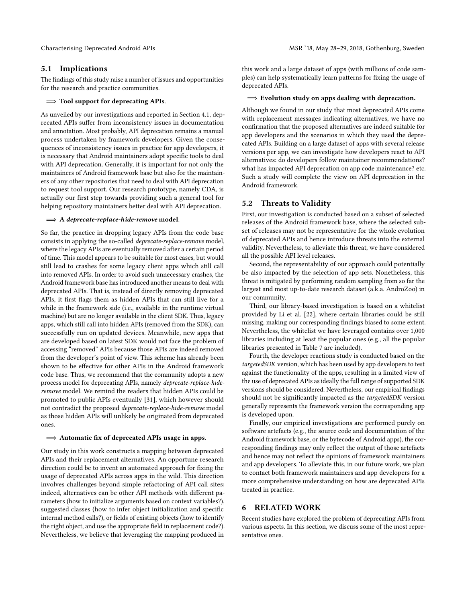# <span id="page-8-1"></span>5.1 Implications

The findings of this study raise a number of issues and opportunities for the research and practice communities.

# $\Rightarrow$  Tool support for deprecating APIs.

As unveiled by our investigations and reported in Section [4.1,](#page-4-4) deprecated APIs suffer from inconsistency issues in documentation and annotation. Most probably, API deprecation remains a manual process undertaken by framework developers. Given the consequences of inconsistency issues in practice for app developers, it is necessary that Android maintainers adopt specific tools to deal with API deprecation. Generally, it is important for not only the maintainers of Android framework base but also for the maintainers of any other repositories that need to deal with API deprecation to request tool support. Our research prototype, namely CDA, is actually our first step towards providing such a general tool for helping repository maintainers better deal with API deprecation.

### $\Rightarrow$  A deprecate-replace-hide-remove model.

So far, the practice in dropping legacy APIs from the code base consists in applying the so-called deprecate-replace-remove model, where the legacy APIs are eventually removed after a certain period of time. This model appears to be suitable for most cases, but would still lead to crashes for some legacy client apps which still call into removed APIs. In order to avoid such unnecessary crashes, the Android framework base has introduced another means to deal with deprecated APIs. That is, instead of directly removing deprecated APIs, it first flags them as hidden APIs that can still live for a while in the framework side (i.e., available in the runtime virtual machine) but are no longer available in the client SDK. Thus, legacy apps, which still call into hidden APIs (removed from the SDK), can successfully run on updated devices. Meanwhile, new apps that are developed based on latest SDK would not face the problem of accessing "removed" APIs because those APIs are indeed removed from the developer's point of view. This scheme has already been shown to be effective for other APIs in the Android framework code base. Thus, we recommend that the community adopts a new process model for deprecating APIs, namely deprecate-replace-hideremove model. We remind the readers that hidden APIs could be promoted to public APIs eventually [\[31\]](#page-10-20), which however should not contradict the proposed deprecate-replace-hide-remove model as those hidden APIs will unlikely be originated from deprecated ones.

#### $\Rightarrow$  Automatic fix of deprecated APIs usage in apps.

Our study in this work constructs a mapping between deprecated APIs and their replacement alternatives. An opportune research direction could be to invent an automated approach for fixing the usage of deprecated APIs across apps in the wild. This direction involves challenges beyond simple refactoring of API call sites: indeed, alternatives can be other API methods with different parameters (how to initialize arguments based on context variables?), suggested classes (how to infer object initialization and specific internal method calls?), or fields of existing objects (how to identify the right object, and use the appropriate field in replacement code?). Nevertheless, we believe that leveraging the mapping produced in

Characterising Deprecated Android APIs MSR '18, May 28-29, 2018, Gothenburg, Sweden

this work and a large dataset of apps (with millions of code samples) can help systematically learn patterns for fixing the usage of deprecated APIs.

#### $\Rightarrow$  Evolution study on apps dealing with deprecation.

Although we found in our study that most deprecated APIs come with replacement messages indicating alternatives, we have no confirmation that the proposed alternatives are indeed suitable for app developers and the scenarios in which they used the deprecated APIs. Building on a large dataset of apps with several release versions per app, we can investigate how developers react to API alternatives: do developers follow maintainer recommendations? what has impacted API deprecation on app code maintenance? etc. Such a study will complete the view on API deprecation in the Android framework.

# <span id="page-8-2"></span>5.2 Threats to Validity

First, our investigation is conducted based on a subset of selected releases of the Android framework base, where the selected subset of releases may not be representative for the whole evolution of deprecated APIs and hence introduce threats into the external validity. Nevertheless, to alleviate this threat, we have considered all the possible API level releases.

Second, the representability of our approach could potentially be also impacted by the selection of app sets. Nonetheless, this threat is mitigated by performing random sampling from so far the largest and most up-to-date research dataset (a.k.a. AndroZoo) in our community.

Third, our library-based investigation is based on a whitelist provided by Li et al. [\[22\]](#page-10-14), where certain libraries could be still missing, making our corresponding findings biased to some extent. Nevertheless, the whitelist we have leveraged contains over 1,000 libraries including at least the popular ones (e.g., all the popular libraries presented in Table [7](#page-7-5) are included).

Fourth, the developer reactions study is conducted based on the targetedSDK version, which has been used by app developers to test against the functionality of the apps, resulting in a limited view of the use of deprecated APIs as ideally the full range of supported SDK versions should be considered. Nevertheless, our empirical findings should not be significantly impacted as the targetedSDK version generally represents the framework version the corresponding app is developed upon.

Finally, our empirical investigations are performed purely on software artefacts (e.g., the source code and documentation of the Android framework base, or the bytecode of Android apps), the corresponding findings may only reflect the output of those artefacts and hence may not reflect the opinions of framework maintainers and app developers. To alleviate this, in our future work, we plan to contact both framework maintainers and app developers for a more comprehensive understanding on how are deprecated APIs treated in practice.

# <span id="page-8-0"></span>6 RELATED WORK

Recent studies have explored the problem of deprecating APIs from various aspects. In this section, we discuss some of the most representative ones.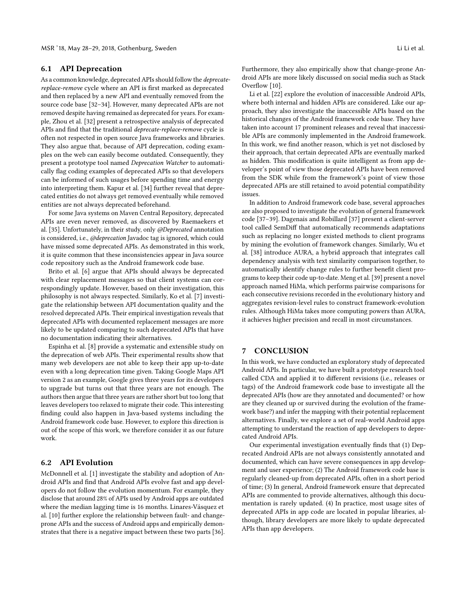# 6.1 API Deprecation

As a common knowledge, deprecated APIs should follow the deprecatereplace-remove cycle where an API is first marked as deprecated and then replaced by a new API and eventually removed from the source code base [\[32](#page-10-21)[–34\]](#page-10-22). However, many deprecated APIs are not removed despite having remained as deprecated for years. For example, Zhou et al. [\[32\]](#page-10-21) present a retrospective analysis of deprecated APIs and find that the traditional *deprecate-replace-remove* cycle is often not respected in open source Java frameworks and libraries. They also argue that, because of API deprecation, coding examples on the web can easily become outdated. Consequently, they present a prototype tool named Deprecation Watcher to automatically flag coding examples of deprecated APIs so that developers can be informed of such usages before spending time and energy into interpreting them. Kapur et al. [\[34\]](#page-10-22) further reveal that deprecated entities do not always get removed eventually while removed entities are not always deprecated beforehand.

For some Java systems on Maven Central Repository, deprecated APIs are even never removed, as discovered by Raemaekers et al. [\[35\]](#page-10-23). Unfortunately, in their study, only @Deprecated annotation is considered, i.e., @deprecation Javadoc tag is ignored, which could have missed some deprecated APIs. As demonstrated in this work, it is quite common that these inconsistencies appear in Java source code repository such as the Android framework code base.

Brito et al. [\[6\]](#page-10-6) argue that APIs should always be deprecated with clear replacement messages so that client systems can correspondingly update. However, based on their investigation, this philosophy is not always respected. Similarly, Ko et al. [\[7\]](#page-10-7) investigate the relationship between API documentation quality and the resolved deprecated APIs. Their empirical investigation reveals that deprecated APIs with documented replacement messages are more likely to be updated comparing to such deprecated APIs that have no documentation indicating their alternatives.

Espinha et al. [\[8\]](#page-10-8) provide a systematic and extensible study on the deprecation of web APIs. Their experimental results show that many web developers are not able to keep their app up-to-date even with a long deprecation time given. Taking Google Maps API version 2 as an example, Google gives three years for its developers to upgrade but turns out that three years are not enough. The authors then argue that three years are rather short but too long that leaves developers too relaxed to migrate their code. This interesting finding could also happen in Java-based systems including the Android framework code base. However, to explore this direction is out of the scope of this work, we therefore consider it as our future work.

# 6.2 API Evolution

McDonnell et al. [\[1\]](#page-10-1) investigate the stability and adoption of Android APIs and find that Android APIs evolve fast and app developers do not follow the evolution momentum. For example, they disclose that around 28% of APIs used by Android apps are outdated where the median lagging time is 16 months. Linares-Vásquez et al. [\[10\]](#page-10-24) further explore the relationship between fault- and changeprone APIs and the success of Android apps and empirically demonstrates that there is a negative impact between these two parts [\[36\]](#page-10-25). Furthermore, they also empirically show that change-prone Android APIs are more likely discussed on social media such as Stack Overflow [\[10\]](#page-10-24).

Li et al. [\[22\]](#page-10-14) explore the evolution of inaccessible Android APIs, where both internal and hidden APIs are considered. Like our approach, they also investigate the inaccessible APIs based on the historical changes of the Android framework code base. They have taken into account 17 prominent releases and reveal that inaccessible APIs are commonly implemented in the Android framework. In this work, we find another reason, which is yet not disclosed by their approach, that certain deprecated APIs are eventually marked as hidden. This modification is quite intelligent as from app developer's point of view those deprecated APIs have been removed from the SDK while from the framework's point of view those deprecated APIs are still retained to avoid potential compatibility issues.

In addition to Android framework code base, several approaches are also proposed to investigate the evolution of general framework code [\[37](#page-10-26)[–39\]](#page-10-27). Dagenais and Robillard [\[37\]](#page-10-26) present a client-server tool called SemDiff that automatically recommends adaptations such as replacing no longer existed methods to client programs by mining the evolution of framework changes. Similarly, Wu et al. [\[38\]](#page-10-28) introduce AURA, a hybrid approach that integrates call dependency analysis with text similarity comparison together, to automatically identify change rules to further benefit client programs to keep their code up-to-date. Meng et al. [\[39\]](#page-10-27) present a novel approach named HiMa, which performs pairwise comparisons for each consecutive revisions recorded in the evolutionary history and aggregates revision-level rules to construct framework-evolution rules. Although HiMa takes more computing powers than AURA, it achieves higher precision and recall in most circumstances.

# <span id="page-9-0"></span>7 CONCLUSION

In this work, we have conducted an exploratory study of deprecated Android APIs. In particular, we have built a prototype research tool called CDA and applied it to different revisions (i.e., releases or tags) of the Android framework code base to investigate all the deprecated APIs (how are they annotated and documented? or how are they cleaned up or survived during the evolution of the framework base?) and infer the mapping with their potential replacement alternatives. Finally, we explore a set of real-world Android apps attempting to understand the reaction of app developers to deprecated Android APIs.

Our experimental investigation eventually finds that (1) Deprecated Android APIs are not always consistently annotated and documented, which can have severe consequences in app development and user experience; (2) The Android framework code base is regularly cleaned-up from deprecated APIs, often in a short period of time; (3) In general, Android framework ensure that deprecated APIs are commented to provide alternatives, although this documentation is rarely updated. (4) In practice, most usage sites of deprecated APIs in app code are located in popular libraries, although, library developers are more likely to update deprecated APIs than app developers.